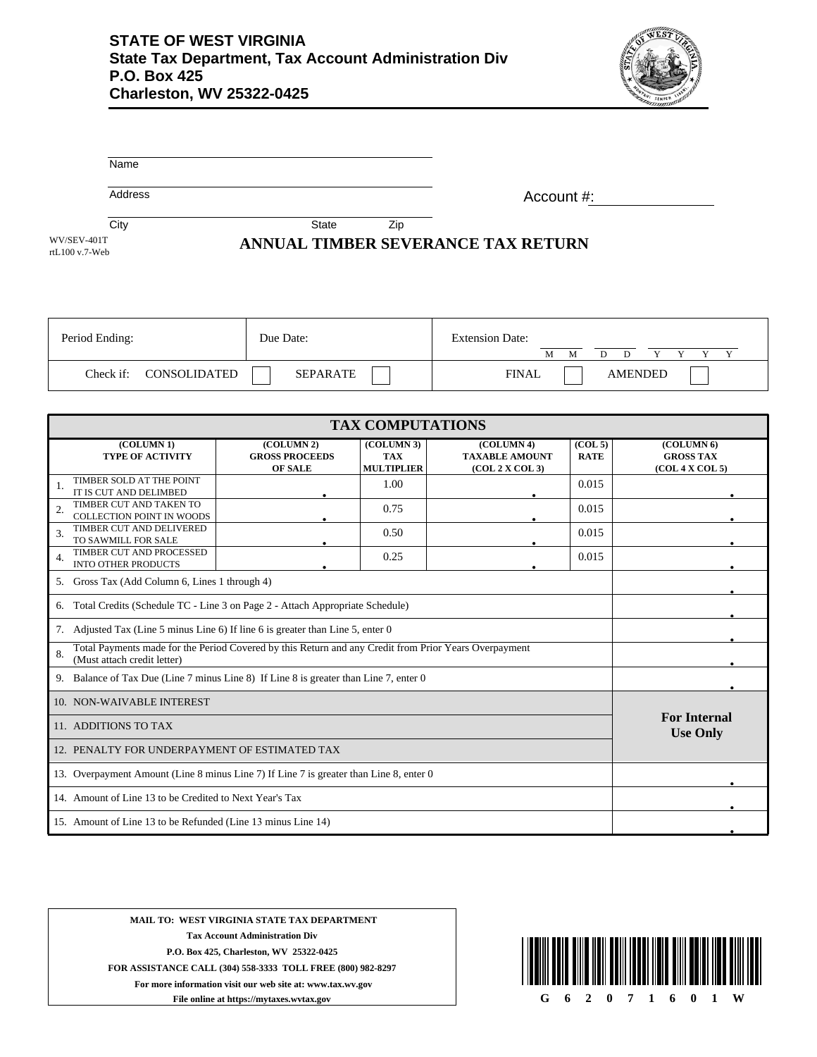

|                               | Name      |              |            |                 |                                    |                        |              |             |                |        |
|-------------------------------|-----------|--------------|------------|-----------------|------------------------------------|------------------------|--------------|-------------|----------------|--------|
|                               | Address   |              |            |                 |                                    | Account #:             |              |             |                |        |
|                               | City      |              |            | State           | Zip                                |                        |              |             |                |        |
| WV/SEV-401T<br>rtL100 v.7-Web |           |              |            |                 | ANNUAL TIMBER SEVERANCE TAX RETURN |                        |              |             |                |        |
|                               |           |              |            |                 |                                    |                        |              |             |                |        |
|                               |           |              |            |                 |                                    |                        |              |             |                |        |
|                               |           |              |            |                 |                                    |                        |              |             |                |        |
| Period Ending:                |           |              | Due Date:  |                 |                                    | <b>Extension Date:</b> | M            | M<br>D<br>D | Y<br>Y         | Y<br>Y |
|                               | Check if: | CONSOLIDATED |            | <b>SEPARATE</b> |                                    |                        | <b>FINAL</b> |             | <b>AMENDED</b> |        |
|                               |           |              |            |                 |                                    |                        |              |             |                |        |
|                               |           |              |            |                 | <b>TAX COMPUTATIONS</b>            |                        |              |             |                |        |
|                               |           | (COTJIMN 1)  | (COTIMN 2) |                 | (COTIMN 3)                         |                        | (COTIMNA)    | (COT.5)     | (COTIMNA)      |        |

| (COLUMN 1)                                                                                                  | (COLUMN 2)            | (COLUMN 3)        | (COLUMN 4)            | (COL <sub>5</sub> ) | (COLUMN <sub>6</sub> ) |  |
|-------------------------------------------------------------------------------------------------------------|-----------------------|-------------------|-----------------------|---------------------|------------------------|--|
| <b>TYPE OF ACTIVITY</b>                                                                                     | <b>GROSS PROCEEDS</b> | <b>TAX</b>        | <b>TAXABLE AMOUNT</b> | <b>RATE</b>         | <b>GROSS TAX</b>       |  |
|                                                                                                             | <b>OF SALE</b>        | <b>MULTIPLIER</b> | (COL 2 X COL 3)       |                     | (COL 4 X COL 5)        |  |
| TIMBER SOLD AT THE POINT                                                                                    |                       | 1.00              |                       | 0.015               |                        |  |
| IT IS CUT AND DELIMBED                                                                                      |                       |                   |                       |                     |                        |  |
| TIMBER CUT AND TAKEN TO<br>2.                                                                               |                       | 0.75              |                       | 0.015               |                        |  |
| <b>COLLECTION POINT IN WOODS</b>                                                                            |                       |                   |                       |                     |                        |  |
| TIMBER CUT AND DELIVERED<br>3.                                                                              |                       | 0.50              |                       | 0.015               |                        |  |
| TO SAWMILL FOR SALE                                                                                         |                       |                   |                       |                     |                        |  |
| TIMBER CUT AND PROCESSED                                                                                    |                       | 0.25              |                       | 0.015               |                        |  |
| 4.<br><b>INTO OTHER PRODUCTS</b>                                                                            |                       |                   |                       |                     |                        |  |
|                                                                                                             |                       |                   |                       |                     |                        |  |
| Gross Tax (Add Column 6, Lines 1 through 4)<br>5.                                                           |                       |                   |                       |                     |                        |  |
|                                                                                                             |                       |                   |                       |                     |                        |  |
| Total Credits (Schedule TC - Line 3 on Page 2 - Attach Appropriate Schedule)<br>6.                          |                       |                   |                       |                     |                        |  |
| Adjusted Tax (Line 5 minus Line 6) If line 6 is greater than Line 5, enter 0<br>7.                          |                       |                   |                       |                     |                        |  |
|                                                                                                             |                       |                   |                       |                     |                        |  |
| Total Payments made for the Period Covered by this Return and any Credit from Prior Years Overpayment<br>8. |                       |                   |                       |                     |                        |  |
| (Must attach credit letter)                                                                                 |                       |                   |                       |                     |                        |  |
| Balance of Tax Due (Line 7 minus Line 8) If Line 8 is greater than Line 7, enter 0<br>9.                    |                       |                   |                       |                     |                        |  |
| 10. NON-WAIVABLE INTEREST                                                                                   |                       |                   |                       |                     |                        |  |
|                                                                                                             |                       |                   |                       |                     |                        |  |
| 11. ADDITIONS TO TAX                                                                                        | <b>For Internal</b>   |                   |                       |                     |                        |  |
| <b>Use Only</b>                                                                                             |                       |                   |                       |                     |                        |  |
| 12. PENALTY FOR UNDERPAYMENT OF ESTIMATED TAX                                                               |                       |                   |                       |                     |                        |  |
| 13. Overpayment Amount (Line 8 minus Line 7) If Line 7 is greater than Line 8, enter 0                      |                       |                   |                       |                     |                        |  |
|                                                                                                             |                       |                   |                       |                     |                        |  |
| 14. Amount of Line 13 to be Credited to Next Year's Tax                                                     |                       |                   |                       |                     |                        |  |
| 15. Amount of Line 13 to be Refunded (Line 13 minus Line 14)                                                |                       |                   |                       |                     |                        |  |
|                                                                                                             |                       |                   |                       |                     |                        |  |

**MAIL TO: WEST VIRGINIA STATE TAX DEPARTMENT Tax Account Administration Div P.O. Box 425, Charleston, WV 25322-0425 FOR ASSISTANCE CALL (304) 558-3333 TOLL FREE (800) 982-8297 For more information visit our web site at: www.tax.wv.gov**

**File online at https://mytaxes.wvtax.gov**